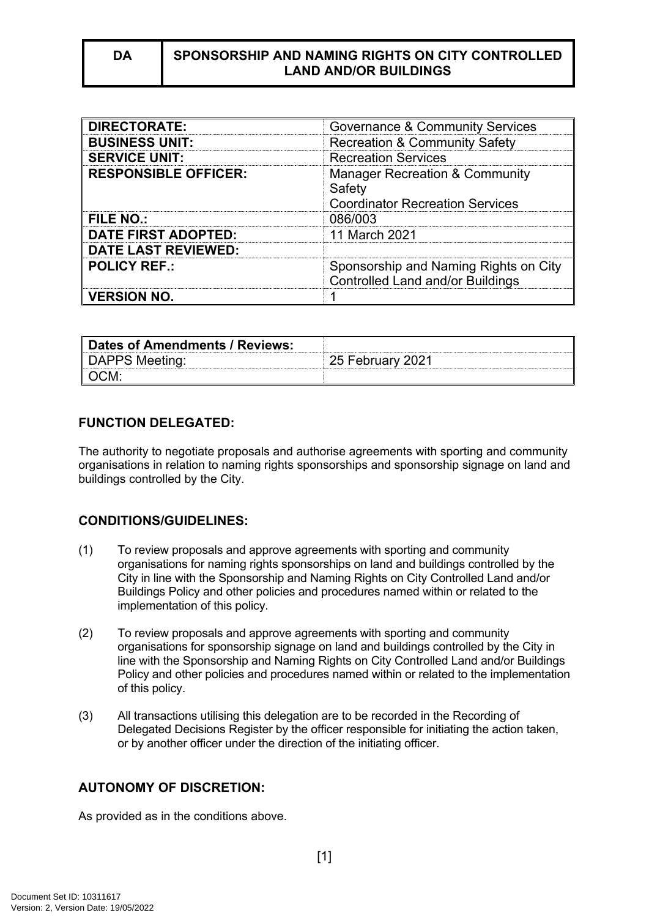| <b>DIRECTORATE:</b>         | <b>Governance &amp; Community Services</b>                                                    |
|-----------------------------|-----------------------------------------------------------------------------------------------|
| <b>BUSINESS UNIT:</b>       | <b>Recreation &amp; Community Safety</b>                                                      |
| <b>SERVICE UNIT:</b>        | <b>Recreation Services</b>                                                                    |
| <b>RESPONSIBLE OFFICER:</b> | <b>Manager Recreation &amp; Community</b><br>Safety<br><b>Coordinator Recreation Services</b> |
| <b>FILE NO.:</b>            | 086/003                                                                                       |
| <b>DATE FIRST ADOPTED:</b>  | 11 March 2021                                                                                 |
| <b>DATE LAST REVIEWED:</b>  |                                                                                               |
| <b>POLICY REF.:</b>         | Sponsorship and Naming Rights on City<br><b>Controlled Land and/or Buildings</b>              |
| <b>VERSION NO.</b>          |                                                                                               |

| ∥ Dates of Amendments / Reviews: |                  |
|----------------------------------|------------------|
| DAPPS Meeting:                   | 25 February 2021 |
| ∥ OCM.                           |                  |

# **FUNCTION DELEGATED:**

The authority to negotiate proposals and authorise agreements with sporting and community organisations in relation to naming rights sponsorships and sponsorship signage on land and buildings controlled by the City.

# **CONDITIONS/GUIDELINES:**

- (1) To review proposals and approve agreements with sporting and community organisations for naming rights sponsorships on land and buildings controlled by the City in line with the Sponsorship and Naming Rights on City Controlled Land and/or Buildings Policy and other policies and procedures named within or related to the implementation of this policy.
- (2) To review proposals and approve agreements with sporting and community organisations for sponsorship signage on land and buildings controlled by the City in line with the Sponsorship and Naming Rights on City Controlled Land and/or Buildings Policy and other policies and procedures named within or related to the implementation of this policy.
- (3) All transactions utilising this delegation are to be recorded in the Recording of Delegated Decisions Register by the officer responsible for initiating the action taken, or by another officer under the direction of the initiating officer.

# **AUTONOMY OF DISCRETION:**

As provided as in the conditions above.